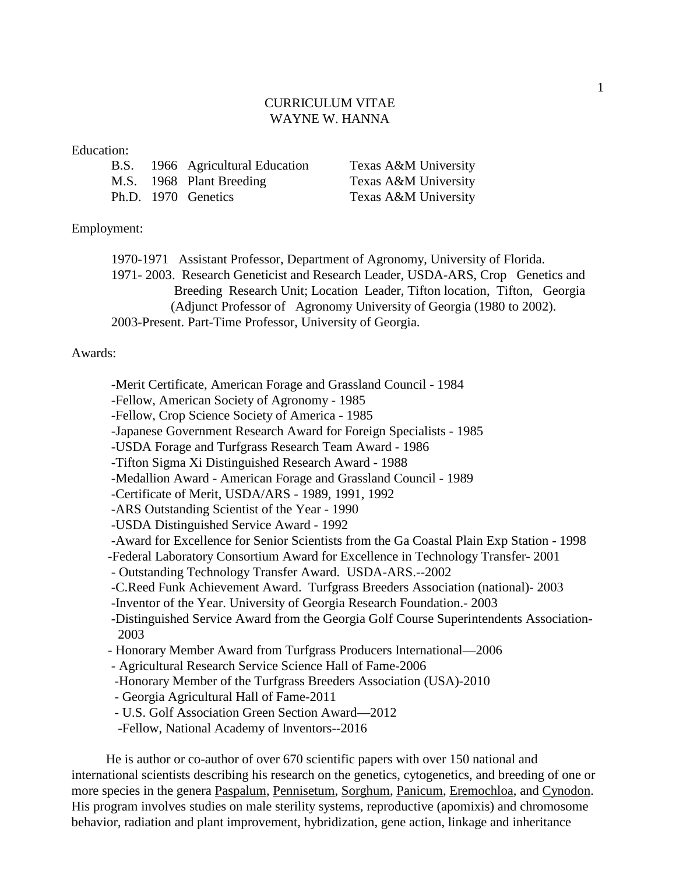## CURRICULUM VITAE WAYNE W. HANNA

## Education:

|  | B.S. 1966 Agricultural Education | Texas A&M University |
|--|----------------------------------|----------------------|
|  | M.S. 1968 Plant Breeding         | Texas A&M University |
|  | Ph.D. 1970 Genetics              | Texas A&M University |

## Employment:

1970-1971 Assistant Professor, Department of Agronomy, University of Florida. 1971- 2003. Research Geneticist and Research Leader, USDA-ARS, Crop Genetics and Breeding Research Unit; Location Leader, Tifton location, Tifton, Georgia (Adjunct Professor of Agronomy University of Georgia (1980 to 2002). 2003-Present. Part-Time Professor, University of Georgia.

## Awards:

- -Merit Certificate, American Forage and Grassland Council 1984
- -Fellow, American Society of Agronomy 1985
- -Fellow, Crop Science Society of America 1985
- -Japanese Government Research Award for Foreign Specialists 1985
- -USDA Forage and Turfgrass Research Team Award 1986
- -Tifton Sigma Xi Distinguished Research Award 1988
- -Medallion Award American Forage and Grassland Council 1989
- -Certificate of Merit, USDA/ARS 1989, 1991, 1992
- -ARS Outstanding Scientist of the Year 1990
- -USDA Distinguished Service Award 1992
- -Award for Excellence for Senior Scientists from the Ga Coastal Plain Exp Station 1998
- -Federal Laboratory Consortium Award for Excellence in Technology Transfer- 2001
- Outstanding Technology Transfer Award. USDA-ARS.--2002
- -C.Reed Funk Achievement Award. Turfgrass Breeders Association (national)- 2003
- -Inventor of the Year. University of Georgia Research Foundation.- 2003
- -Distinguished Service Award from the Georgia Golf Course Superintendents Association- 2003
- Honorary Member Award from Turfgrass Producers International—2006
- Agricultural Research Service Science Hall of Fame-2006
- -Honorary Member of the Turfgrass Breeders Association (USA)-2010
- Georgia Agricultural Hall of Fame-2011
- U.S. Golf Association Green Section Award—2012
- -Fellow, National Academy of Inventors--2016

He is author or co-author of over 670 scientific papers with over 150 national and international scientists describing his research on the genetics, cytogenetics, and breeding of one or more species in the genera Paspalum, Pennisetum, Sorghum, Panicum, Eremochloa, and Cynodon. His program involves studies on male sterility systems, reproductive (apomixis) and chromosome behavior, radiation and plant improvement, hybridization, gene action, linkage and inheritance